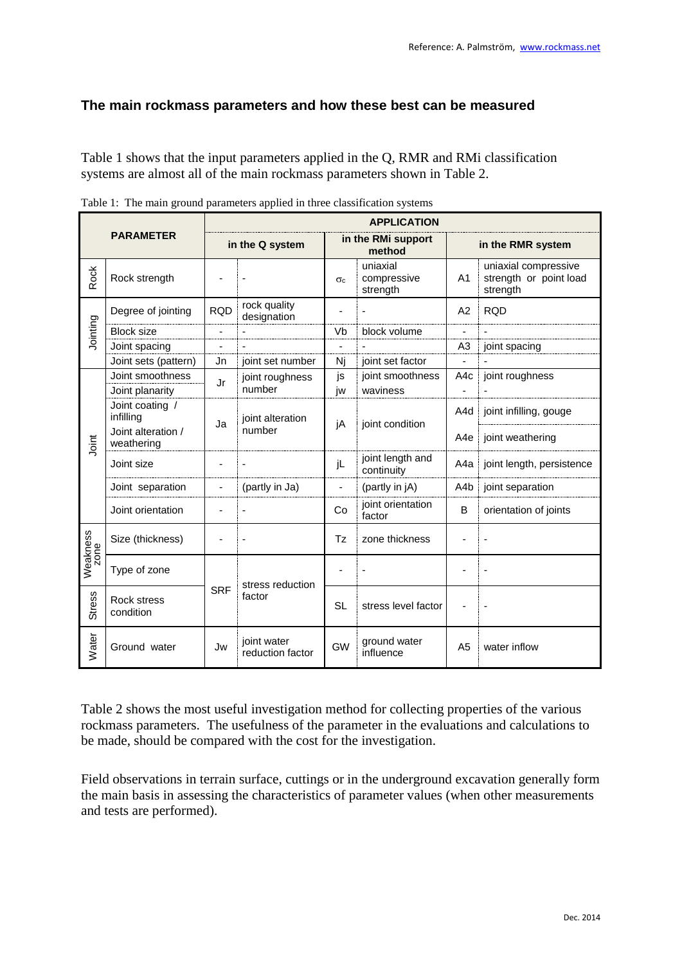## **The main rockmass parameters and how these best can be measured**

Table 1 shows that the input parameters applied in the Q, RMR and RMi classification systems are almost all of the main rockmass parameters shown in Table 2.

|                                   |                                     |                 | <b>APPLICATION</b>              |                              |                                     |                   |                                                            |  |  |
|-----------------------------------|-------------------------------------|-----------------|---------------------------------|------------------------------|-------------------------------------|-------------------|------------------------------------------------------------|--|--|
| <b>PARAMETER</b>                  |                                     | in the Q system |                                 | in the RMi support<br>method |                                     | in the RMR system |                                                            |  |  |
| <b>Rock</b>                       | Rock strength                       |                 |                                 | $\sigma_c$                   | uniaxial<br>compressive<br>strength | A <sub>1</sub>    | uniaxial compressive<br>strength or point load<br>strength |  |  |
| Jointing                          | Degree of jointing                  | <b>RQD</b>      | rock quality<br>designation     |                              |                                     | A2                | <b>ROD</b>                                                 |  |  |
|                                   | <b>Block size</b>                   |                 |                                 | Vb                           | block volume                        | $\blacksquare$    |                                                            |  |  |
|                                   | Joint spacing                       |                 |                                 |                              |                                     | A <sub>3</sub>    | joint spacing                                              |  |  |
|                                   | Joint sets (pattern)                | Jn              | joint set number                | Nj                           | joint set factor                    | ä,                |                                                            |  |  |
| Joint                             | Joint smoothness<br>Joint planarity | Jr              | joint roughness<br>number       | js<br>iw                     | joint smoothness<br>waviness        | A4c               | joint roughness                                            |  |  |
|                                   | Joint coating /<br>infilling        | Ja              | joint alteration<br>number      | jA                           | joint condition                     | A4d               | joint infilling, gouge                                     |  |  |
|                                   | Joint alteration /<br>weathering    |                 |                                 |                              |                                     |                   | A4e   joint weathering                                     |  |  |
|                                   | Joint size                          |                 |                                 | jL                           | joint length and<br>continuity      |                   | A4a   joint length, persistence                            |  |  |
|                                   | Joint separation                    | ٠               | (partly in Ja)                  | $\overline{\phantom{a}}$     | (partly in jA)                      | A4b               | joint separation                                           |  |  |
|                                   | Joint orientation                   |                 |                                 | Co                           | joint orientation<br>factor         | B                 | orientation of joints                                      |  |  |
| Weakness<br>zone<br><b>Stress</b> | Size (thickness)                    |                 |                                 | Tz                           | zone thickness                      |                   |                                                            |  |  |
|                                   | Type of zone                        | <b>SRF</b>      | stress reduction<br>factor      |                              |                                     |                   |                                                            |  |  |
|                                   | Rock stress<br>condition            |                 |                                 | <b>SL</b>                    | stress level factor                 |                   |                                                            |  |  |
| Water                             | Ground water                        | Jw              | joint water<br>reduction factor | <b>GW</b>                    | ground water<br>influence           | A <sub>5</sub>    | water inflow                                               |  |  |

Table 2 shows the most useful investigation method for collecting properties of the various rockmass parameters. The usefulness of the parameter in the evaluations and calculations to be made, should be compared with the cost for the investigation.

Field observations in terrain surface, cuttings or in the underground excavation generally form the main basis in assessing the characteristics of parameter values (when other measurements and tests are performed).